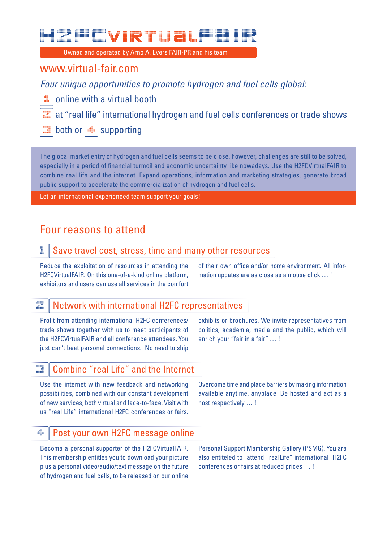Owned and operated by Arno A. Evers FAIR-PR and his team Owned and operated by Arno A. Evers FAIR-PR and his team

### www.virtual-fair.com

*Four unique opportunities to promote hydrogen and fuel cells global:*

online with a virtual booth

at "real life" international hydrogen and fuel cells conferences or trade shows

both or  $|\triangle|$  supporting

The global market entry of hydrogen and fuel cells seems to be close, however, challenges are still to be solved, especially in a period of financial turmoil and economic uncertainty like nowadays. Use the H2FCVirtualFAIR to combine real life and the internet. Expand operations, information and marketing strategies, generate broad public support to accelerate the commercialization of hydrogen and fuel cells.

Let an international experienced team support your goals!

### Four reasons to attend

### $\mathbb{1}\parallel$  Save travel cost, stress, time and many other resources

Reduce the exploitation of resources in attending the H2FCVirtualFAIR. On this one-of-a-kind online platform, exhibitors and users can use all services in the comfort of their own office and/or home environment. All information updates are as close as a mouse click … !

### $\mathbb{Z}$  | Network with international H2FC representatives

Profit from attending international H2FC conferences/ trade shows together with us to meet participants of the H2FCVirtualFAIR and all conference attendees. You just can't beat personal connections. No need to ship

exhibits or brochures. We invite representatives from politics, academia, media and the public, which will enrich your "fair in a fair" … !

### $\blacksquare$  Combine "real Life" and the Internet

Use the internet with new feedback and networking possibilities, combined with our constant development of new services, both virtual and face-to-face. Visit with us "real Life" international H2FC conferences or fairs.

Overcome time and place barriers by making information available anytime, anyplace. Be hosted and act as a host respectively … !

### 4 Post your own H2FC message online

Become a personal supporter of the H2FCVirtualFAIR. This membership entitles you to download your picture plus a personal video/audio/text message on the future of hydrogen and fuel cells, to be released on our online

Personal Support Membership Gallery (PSMG). You are also entiteled to attend "realLife" international H2FC conferences or fairs at reduced prices … !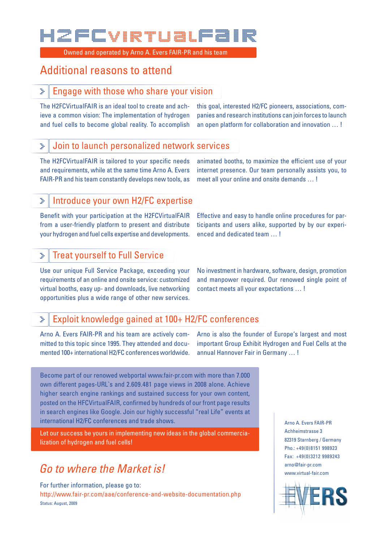Owned and operated by Arno A. Evers FAIR-PR and his team

### Additional reasons to attend

#### Engage with those who share your vision >

The H2FCVirtualFAIR is an ideal tool to create and achieve a common vision: The implementation of hydrogen and fuel cells to become global reality. To accomplish this goal, interested H2/FC pioneers, associations, companies and research institutions can join forces to launch an open platform for collaboration and innovation … !

#### Join to launch personalized network services >

The H2FCVirtualFAIR is tailored to your specific needs and requirements, while at the same time Arno A. Evers FAIR-PR and his team constantly develops new tools, as animated booths, to maximize the efficient use of your internet presence. Our team personally assists you, to meet all your online and onsite demands … !

#### Introduce your own H2/FC expertise >

Benefit with your participation at the H2FCVirtualFAIR from a user-friendly platform to present and distribute your hydrogen and fuel cells expertise and developments.

Effective and easy to handle online procedures for participants and users alike, supported by by our experienced and dedicated team … !

### Treat yourself to Full Service >

Use our unique Full Service Package, exceeding your requirements of an online and onsite service: customized virtual booths, easy up- and downloads, live networking opportunities plus a wide range of other new services.

No investment in hardware, software, design, promotion and manpower required. Our renowed single point of contact meets all your expectations … !

### Exploit knowledge gained at 100+ H2/FC conferences  $\dddot{\mathbf{r}}$

Arno A. Evers FAIR-PR and his team are actively committed to this topic since 1995. They attended and documented 100+ international H2/FC conferences worldwide. Arno is also the founder of Europe's largest and most important Group Exhibit Hydrogen and Fuel Cells at the annual Hannover Fair in Germany … !

Become part of our renowed webportal www.fair-pr.com with more than 7.000 own different pages-URL`s and 2.609.481 page views in 2008 alone. Achieve higher search engine rankings and sustained success for your own content, posted on the HFCVirtualFAIR, confirmed by hundreds of our front page results in search engines like Google. Join our highly successful "real Life" events at international H2/FC conferences and trade shows.

Let our success be yours in implementing new ideas in the global commercialization of hydrogen and fuel cells!

## *Go to where the Market is!*

For further information, please go to: http://www.fair-pr.com/aae/conference-and-website-documentation.php Status: August, 2009

Arno A. Evers FAIR-PR Achheimstrasse 3 82319 Starnberg / Germany Pho.: +49(0)8151 998923 Fax: +49(0)3212 9989243 arno@fair-pr.com www.virtual-fair.com

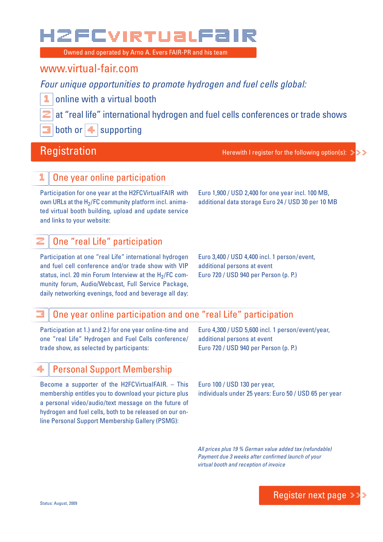Owned and operated by Arno A. Evers FAIR-PR and his team

### www.virtual-fair.com

*Four unique opportunities to promote hydrogen and fuel cells global:*

online with a virtual booth

at "real life" international hydrogen and fuel cells conferences or trade shows

both or  $|\triangle|$  supporting

Registration **Herewith I register for the following option(s):**  $\ddot{x}$ 

### One year online participation

Participation for one year at the H2FCVirtualFAIR with own URLs at the  $H<sub>2</sub>/FC$  community platform incl. animated virtual booth building, upload and update service and links to your website:

Euro 1,900 / USD 2,400 for one year incl. 100 MB, additional data storage Euro 24 / USD 30 per 10 MB

### One "real Life" participation

Participation at one "real Life" international hydrogen and fuel cell conference and/or trade show with VIP status, incl. 20 min Forum Interview at the  $H_2$ /FC community forum, Audio/Webcast, Full Service Package, daily networking evenings, food and beverage all day:

Euro 3,400 / USD 4,400 incl. 1 person/event, additional persons at event Euro 720 / USD 940 per Person (p. P.)

### 3 One year online participation and one "real Life" participation

Participation at 1.) and 2.) for one year online-time and one "real Life" Hydrogen and Fuel Cells conference/ trade show, as selected by participants:

Euro 4,300 / USD 5,600 incl. 1 person/event/year, additional persons at event Euro 720 / USD 940 per Person (p. P.)

### Personal Support Membership

Become a supporter of the H2FCVirtualFAIR. – This membership entitles you to download your picture plus a personal video/audio/text message on the future of hydrogen and fuel cells, both to be released on our online Personal Support Membership Gallery (PSMG):

Euro 100 / USD 130 per year, individuals under 25 years: Euro 50 / USD 65 per year

*All prices plus 19 % German value added tax (refundable)* Payment due 3 weeks after confirmed launch of your *virtual booth and reception of invoice*